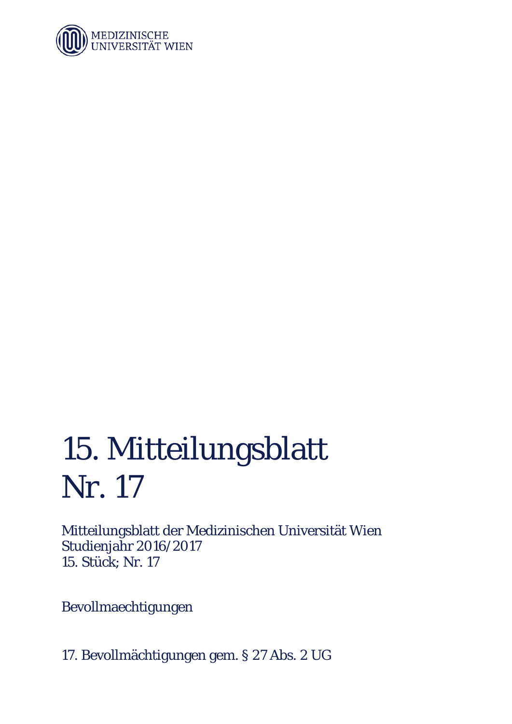

## 15. Mitteilungsblatt Nr. 17

Mitteilungsblatt der Medizinischen Universität Wien Studienjahr 2016/2017 15. Stück; Nr. 17

Bevollmaechtigungen

17. Bevollmächtigungen gem. § 27 Abs. 2 UG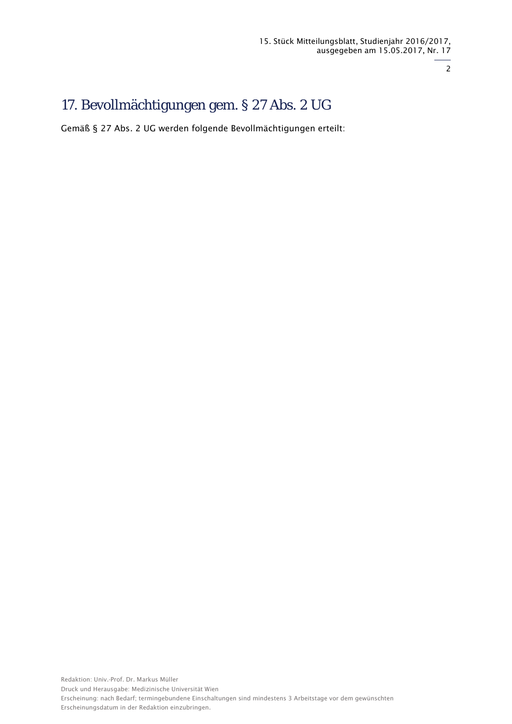2

## 17. Bevollmächtigungen gem. § 27 Abs. 2 UG

Gemäß § 27 Abs. 2 UG werden folgende Bevollmächtigungen erteilt: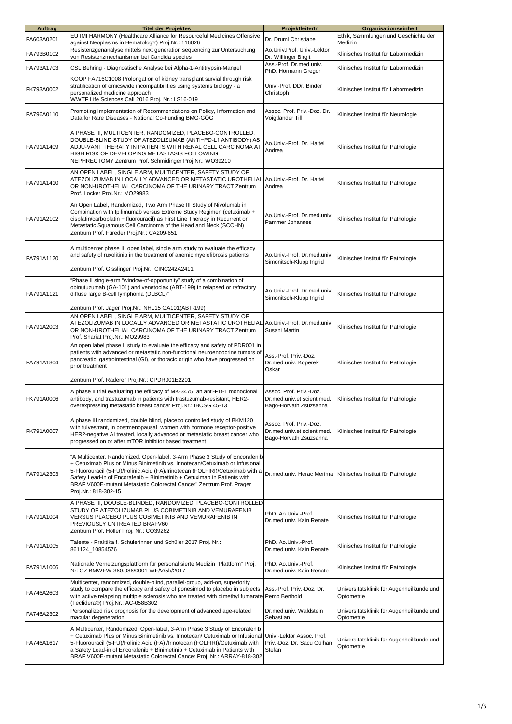| <b>Auftrag</b> | <b>Titel der Projektes</b>                                                                                                                                                                                                                                                                                                                                                                                              | ProjektleiterIn                                                                 | Organisationseinheit                                         |
|----------------|-------------------------------------------------------------------------------------------------------------------------------------------------------------------------------------------------------------------------------------------------------------------------------------------------------------------------------------------------------------------------------------------------------------------------|---------------------------------------------------------------------------------|--------------------------------------------------------------|
| FA603A0201     | EU IMI HARMONY (Healthcare Alliance for Resourceful Medicines Offensive<br>against Neoplasms in HematologY) Proj.Nr.: 116026                                                                                                                                                                                                                                                                                            | Dr. Druml Christiane                                                            | Ethik, Sammlungen und Geschichte der<br>Medizin              |
| FA793B0102     | Resistenzgenanalyse mittels next generation sequencing zur Untersuchung<br>von Resistenzmechanismen bei Candida species                                                                                                                                                                                                                                                                                                 | Ao.Univ.Prof. Univ.-Lektor                                                      | Klinisches Institut für Labormedizin                         |
| FA793A1703     | CSL Behring - Diagnostische Analyse bei Alpha-1-Antitrypsin-Mangel                                                                                                                                                                                                                                                                                                                                                      | Dr. Willinger Birgit<br>Ass.-Prof. Dr.med.univ.                                 | Klinisches Institut für Labormedizin                         |
| FK793A0002     | KOOP FA716C1008 Prolongation of kidney transplant survial through risk<br>stratification of omicswide incompatibilities using systems biology - a<br>personalized medicine approach                                                                                                                                                                                                                                     | PhD. Hörmann Gregor<br>Univ.-Prof. DDr. Binder<br>Christoph                     | Klinisches Institut für Labormedizin                         |
| FA796A0110     | WWTF Life Sciences Call 2016 Proj. Nr.: LS16-019<br>Promoting Implementation of Recommendations on Policy, Information and<br>Data for Rare Diseases - National Co-Funding BMG-GÖG                                                                                                                                                                                                                                      | Assoc. Prof. Priv.-Doz. Dr.<br>Voigtländer Till                                 | Klinisches Institut für Neurologie                           |
| FA791A1409     | A PHASE III, MULTICENTER, RANDOMIZED, PLACEBO-CONTROLLED,<br>DOUBLE-BLIND STUDY OF ATEZOLIZUMAB (ANTI-PD-L1 ANTIBODY) AS<br>ADJU-VANT THERAPY IN PATIENTS WITH RENAL CELL CARCINOMA AT<br>HIGH RISK OF DEVELOPING METASTASIS FOLLOWING<br>NEPHRECTOMY Zentrum Prof. Schmidinger Proj.Nr.: WO39210                                                                                                                       | Ao.Univ.-Prof. Dr. Haitel<br>Andrea                                             | Klinisches Institut für Pathologie                           |
| FA791A1410     | AN OPEN LABEL, SINGLE ARM, MULTICENTER, SAFETY STUDY OF<br>ATEZOLIZUMAB IN LOCALLY ADVANCED OR METASTATIC UROTHELIAL<br>OR NON-UROTHELIAL CARCINOMA OF THE URINARY TRACT Zentrum<br>Prof. Locker Proj.Nr.: MO29983                                                                                                                                                                                                      | Ao.Univ.-Prof. Dr. Haitel<br>Andrea                                             | Klinisches Institut für Pathologie                           |
| FA791A2102     | An Open Label, Randomized, Two Arm Phase III Study of Nivolumab in<br>Combination with Ipilimumab versus Extreme Study Regimen (cetuximab +<br>cisplatin/carboplatin + fluorouracil) as First Line Therapy in Recurrent or<br>Metastatic Squamous Cell Carcinoma of the Head and Neck (SCCHN)<br>Zentrum Prof. Füreder Proj.Nr.: CA209-651                                                                              | Ao.Univ.-Prof. Dr.med.univ.<br>Pammer Johannes                                  | Klinisches Institut für Pathologie                           |
| FA791A1120     | A multicenter phase II, open label, single arm study to evaluate the efficacy<br>and safety of ruxolitinib in the treatment of anemic myelofibrosis patients<br>Zentrum Prof. Gisslinger Proj.Nr.: CINC242A2411                                                                                                                                                                                                         | Ao.Univ.-Prof. Dr.med.univ.<br>Simonitsch-Klupp Ingrid                          | Klinisches Institut für Pathologie                           |
| FA791A1121     | 'Phase II single-arm "window-of-opportunity" study of a combination of<br>obinutuzumab (GA-101) and venetoclax (ABT-199) in relapsed or refractory<br>diffuse large B-cell lymphoma (DLBCL)"<br>Zentrum Prof. Jäger Proj.Nr.: NHL15 GA101(ABT-199)                                                                                                                                                                      | Ao.Univ.-Prof. Dr.med.univ.<br>Simonitsch-Klupp Ingrid                          | Klinisches Institut für Pathologie                           |
| FA791A2003     | AN OPEN LABEL, SINGLE ARM, MULTICENTER, SAFETY STUDY OF<br>ATEZOLIZUMAB IN LOCALLY ADVANCED OR METASTATIC UROTHELIAL Ao.Univ.-Prof. Dr.med.univ.<br>OR NON-UROTHELIAL CARCINOMA OF THE URINARY TRACT Zentrum<br>Prof. Shariat Proj.Nr.: MO29983                                                                                                                                                                         | Susani Martin                                                                   | Klinisches Institut für Pathologie                           |
| FA791A1804     | An open label phase II study to evaluate the efficacy and safety of PDR001 in<br>patients with advanced or metastatic non-functional neuroendocrine tumors of<br>pancreatic, gastrointestinal (GI), or thoracic origin who have progressed on<br>prior treatment                                                                                                                                                        | Ass.-Prof. Priv.-Doz.<br>Dr.med.univ. Koperek<br>Oskar                          | Klinisches Institut für Pathologie                           |
| FK791A0006     | Zentrum Prof. Raderer Proj.Nr.: CPDR001E2201<br>A phase II trial evaluating the efficacy of MK-3475, an anti-PD-1 monoclonal<br>antibody, and trastuzumab in patients with trastuzumab-resistant, HER2-<br>overexpressing metastatic breast cancer Proj.Nr.: IBCSG 45-13                                                                                                                                                | Assoc. Prof. Priv.-Doz.<br>Dr.med.univ.et scient.med.<br>Bago-Horvath Zsuzsanna | Klinisches Institut für Pathologie                           |
| FK791A0007     | A phase III randomized, double blind, placebo controlled study of BKM120<br>with fulvestrant, in postmenopausal women with hormone receptor-positive<br>HER2-negative AI treated, locally advanced or metastatic breast cancer who<br>progressed on or after mTOR inhibitor based treatment                                                                                                                             | Assoc. Prof. Priv.-Doz.<br>Dr.med.univ.et scient.med.<br>Bago-Horvath Zsuzsanna | Klinisches Institut für Pathologie                           |
| FA791A2303     | "A Multicenter, Randomized, Open-label, 3-Arm Phase 3 Study of Encorafenib<br>+ Cetuximab Plus or Minus Binimetinib vs. Irinotecan/Cetuximab or Infusional<br>5-Fluorouracil (5-FU)/Folinic Acid (FA)/Irinotecan (FOLFIRI)/Cetuximab with a<br>Safety Lead-in of Encorafenib + Binimetinib + Cetuximab in Patients with<br>BRAF V600E-mutant Metastatic Colorectal Cancer" Zentrum Prof. Prager<br>Proj.Nr.: 818-302-15 |                                                                                 | Dr.med.univ. Herac Merima Klinisches Institut für Pathologie |
| FA791A1004     | A PHASE III, DOUBLE-BLINDED, RANDOMIZED, PLACEBO-CONTROLLED<br>STUDY OF ATEZOLIZUMAB PLUS COBIMETINIB AND VEMURAFENIB<br>VERSUS PLACEBO PLUS COBIMETINIB AND VEMURAFENIB IN<br>PREVIOUSLY UNTREATED BRAFV60<br>Zentrum Prof. Höller Proj. Nr.: CO39262                                                                                                                                                                  | PhD. Ao.Univ.-Prof.<br>Dr.med.univ. Kain Renate                                 | Klinisches Institut für Pathologie                           |
| FA791A1005     | Talente - Praktika f. Schülerinnen und Schüler 2017 Proj. Nr.:<br>861124_10854576                                                                                                                                                                                                                                                                                                                                       | PhD. Ao.Univ.-Prof.<br>Dr.med.univ. Kain Renate                                 | Klinisches Institut für Pathologie                           |
| FA791A1006     | Nationale Vernetzungsplattform für personalisierte Medizin "Plattform" Proj.<br>Nr: GZ BMWFW-360.086/0001-WF/V/5b/2017                                                                                                                                                                                                                                                                                                  | PhD. Ao.Univ.-Prof.<br>Dr.med.univ. Kain Renate                                 | Klinisches Institut für Pathologie                           |
| FA746A2603     | Multicenter, randomized, double-blind, parallel-group, add-on, superiority<br>study to compare the efficacy and safety of ponesimod to placebo in subjects<br>with active relapsing multiple sclerosis who are treated with dimethyl fumarate Pemp Berthold<br>(Tecfidera®) Proj.Nr.: AC-058B302                                                                                                                        | Ass.-Prof. Priv.-Doz. Dr.                                                       | Universitätsklinik für Augenheilkunde und<br>Optometrie      |
| FA746A2302     | Personalized risk prognosis for the development of advanced age-related<br>macular degeneration                                                                                                                                                                                                                                                                                                                         | Dr.med.univ. Waldstein<br>Sebastian                                             | Universitätsklinik für Augenheilkunde und<br>Optometrie      |
| FA746A1617     | A Multicenter, Randomized, Open-label, 3-Arm Phase 3 Study of Encorafenib<br>+ Cetuximab Plus or Minus Binimetinib vs. Irinotecan/ Cetuximab or Infusional<br>5-Fluorouracil (5-FU)/Folinic Acid (FA) /Irinotecan (FOLFIRI)/Cetuximab with<br>a Safety Lead-in of Encorafenib + Binimetinib + Cetuximab in Patients with<br>BRAF V600E-mutant Metastatic Colorectal Cancer Proj. Nr.: ARRAY-818-302                     | Univ.-Lektor Assoc. Prof.<br>Priv.-Doz. Dr. Sacu Gülhan<br>Stefan               | Universitätsklinik für Augenheilkunde und<br>Optometrie      |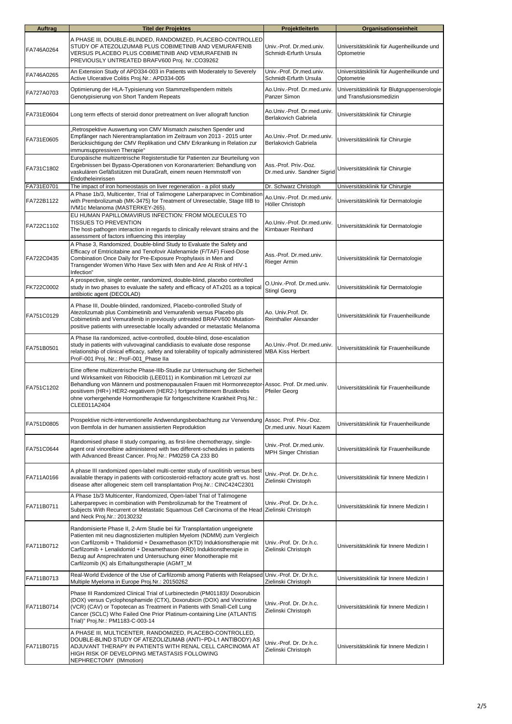| <b>Auftrag</b> | <b>Titel der Projektes</b>                                                                                                                                                                                                                                                                                                                                                                                                       | ProjektleiterIn                                      | Organisationseinheit                                                   |
|----------------|----------------------------------------------------------------------------------------------------------------------------------------------------------------------------------------------------------------------------------------------------------------------------------------------------------------------------------------------------------------------------------------------------------------------------------|------------------------------------------------------|------------------------------------------------------------------------|
| FA746A0264     | A PHASE III, DOUBLE-BLINDED, RANDOMIZED, PLACEBO-CONTROLLED<br>STUDY OF ATEZOLIZUMAB PLUS COBIMETINIB AND VEMURAFENIB<br>VERSUS PLACEBO PLUS COBIMETINIB AND VEMURAFENIB IN<br>PREVIOUSLY UNTREATED BRAFV600 Proj. Nr.:CO39262                                                                                                                                                                                                   | Univ.-Prof. Dr.med.univ.<br>Schmidt-Erfurth Ursula   | Universitätsklinik für Augenheilkunde und<br>Optometrie                |
| FA746A0265     | An Extension Study of APD334-003 in Patients with Moderately to Severely<br>Active Ulcerative Colitis Proj.Nr.: APD334-005                                                                                                                                                                                                                                                                                                       | Univ.-Prof. Dr.med.univ.<br>Schmidt-Erfurth Ursula   | Universitätsklinik für Augenheilkunde und<br>Optometrie                |
| FA727A0703     | Optimierung der HLA-Typisierung von Stammzellspendern mittels<br>Genotypisierung von Short Tandem Repeats                                                                                                                                                                                                                                                                                                                        | Ao.Univ.-Prof. Dr.med.univ.<br>Panzer Simon          | Universitätsklinik für Blutgruppenserologie<br>und Transfusionsmedizin |
| FA731E0604     | Long term effects of steroid donor pretreatment on liver allograft function                                                                                                                                                                                                                                                                                                                                                      | Ao.Univ.-Prof. Dr.med.univ.<br>Berlakovich Gabriela  | Universitätsklinik für Chirurgie                                       |
| FA731E0605     | Retrospektive Auswertung von CMV Mismatch zwischen Spender und<br>Empfänger nach Nierentransplantation im Zeitraum von 2013 - 2015 unter<br>Berücksichtigung der CMV Replikation und CMV Erkrankung in Relation zur<br>immunsuppressiven Therapie"                                                                                                                                                                               | Ao.Univ.-Prof. Dr.med.univ.<br>Berlakovich Gabriela  | Universitätsklinik für Chirurgie                                       |
| FA731C1802     | Europäische multizentrische Registerstudie für Patienten zur Beurteilung von<br>Ergebnissen bei Bypass-Operationen von Koronararterien: Behandlung von<br>vaskulären Gefäßstützen mit DuraGraft, einem neuen Hemmstoff von<br>Endotheleinrissen                                                                                                                                                                                  | Ass.-Prof. Priv.-Doz.<br>Dr.med.univ. Sandner Sigrid | Universitätsklinik für Chirurgie                                       |
| FA731E0701     | The impact of iron homeostasis on liver regeneration - a pilot study                                                                                                                                                                                                                                                                                                                                                             | Dr. Schwarz Christoph                                | Universitätsklinik für Chirurgie                                       |
| FA722B1122     | A Phase 1b/3, Multicenter, Trial of Talimogene Laherparapvec in Combination<br>with Prembrolizumab (MK-3475) for Treatment of Unresectable, Stage IIIB to<br>IVM1c Melanoma (MASTERKEY-265).                                                                                                                                                                                                                                     | Ao.Univ.-Prof. Dr.med.univ.<br>Höller Christoph      | Universitätsklinik für Dermatologie                                    |
| FA722C1102     | EU HUMAN PAPILLOMAVIRUS INFECTION: FROM MOLECULES TO<br><b>TISSUES TO PREVENTION</b><br>The host-pathogen interaction in regards to clinically relevant strains and the<br>assessment of factors influencing this interplay                                                                                                                                                                                                      | Ao.Univ.-Prof. Dr.med.univ.<br>Kirnbauer Reinhard    | Universitätsklinik für Dermatologie                                    |
| FA722C0435     | A Phase 3, Randomized, Double-blind Study to Evaluate the Safety and<br>Efficacy of Emtricitabine and Tenofovir Alafenamide (F/TAF) Fixed-Dose<br>Combination Once Daily for Pre-Exposure Prophylaxis in Men and<br>Transgender Women Who Have Sex with Men and Are At Risk of HIV-1<br>Infection"                                                                                                                               | Ass.-Prof. Dr.med.univ.<br>Rieger Armin              | Universitätsklinik für Dermatologie                                    |
| FK722C0002     | A prospective, single center, randomized, double-blind, placebo controlled<br>study in two phases to evaluate the safety and efficacy of ATx201 as a topical<br>antibiotic agent (DECOLAD)                                                                                                                                                                                                                                       | O.Univ.-Prof. Dr.med.univ.<br><b>Stingl Georg</b>    | Universitätsklinik für Dermatologie                                    |
| FA751C0129     | A Phase III, Double-blinded, randomized, Placebo-controlled Study of<br>Atezolizumab plus Combimetinib and Vemurafenib versus Placebo pls<br>Cobimetinib and Vemurafenib in previously untreated BRAFV600 Mutation-<br>positive patients with unresectable locally advanded or metastatic Melanoma                                                                                                                               | Ao. Univ.Prof. Dr.<br><b>Reinthaller Alexander</b>   | Universitätsklinik für Frauenheilkunde                                 |
| FA751B0501     | A Phase IIa randomized, active-controlled, double-blind, dose-escalation<br>study in patients with vulvovaginal candidiasis to evaluate dose response<br>relationship of clinical efficacy, safety and tolerability of topically administered MBA Kiss Herbert<br>ProF-001 Proj. Nr.: ProF-001_Phase Ila                                                                                                                         | Ao.Univ.-Prof. Dr.med.univ.                          | Universitätsklinik für Frauenheilkunde                                 |
| FA751C1202     | Eine offene multizentrische Phase-IIIb-Studie zur Untersuchung der Sicherheit<br>und Wirksamkeit von Ribociclib (LEE011) in Kombination mit Letrozol zur<br>Behandlung von Männern und postmenopausalen Frauen mit Hormonrezeptor-Assoc. Prof. Dr.med.univ.<br>positivem (HR+) HER2-negativem (HER2-) fortgeschrittenem Brustkrebs<br>ohne vorhergehende Hormontherapie für fortgeschrittene Krankheit Proj.Nr.:<br>CLEE011A2404 | Pfeiler Georg                                        | Universitätsklinik für Frauenheilkunde                                 |
| FA751D0805     | Prospektive nicht-interventionelle Andwendungsbeobachtung zur Verwendung Assoc. Prof. Priv.-Doz.<br>von Bemfola in der humanen assistierten Reproduktion                                                                                                                                                                                                                                                                         | Dr.med.univ. Nouri Kazem                             | Universitätsklinik für Frauenheilkunde                                 |
| FA751C0644     | Randomised phase II study comparing, as first-line chemotherapy, single-<br>agent oral vinorelbine administered with two different-schedules in patients<br>with Advanced Breast Cancer. Proj.Nr.: PM0259 CA 233 B0                                                                                                                                                                                                              | Univ.-Prof. Dr.med.univ.<br>MPH Singer Christian     | Universitätsklinik für Frauenheilkunde                                 |
| FA711A0166     | A phase III randomized open-label multi-center study of ruxolitinib versus best<br>available therapy in patients with corticosteroid-refractory acute graft vs. host<br>disease after allogeneic stem cell transplantation Proj.Nr.: CINC424C2301                                                                                                                                                                                | Univ.-Prof. Dr. Dr.h.c.<br>Zielinski Christoph       | Universitätsklinik für Innere Medizin I                                |
| FA711B0711     | A Phase 1b/3 Multicenter, Randomized, Open-label Trial of Talimogene<br>Laherparepvec in combination with Pembrolizumab for the Treatment of<br>Subjects With Recurrent or Metastatic Squamous Cell Carcinoma of the Head Zielinski Christoph<br>and Neck Proj.Nr.: 20130232                                                                                                                                                     | Univ.-Prof. Dr. Dr.h.c.                              | Universitätsklinik für Innere Medizin I                                |
| FA711B0712     | Randomisierte Phase II, 2-Arm Studie bei für Transplantation ungeeignete<br>Patienten mit neu diagnostizierten multiplen Myelom (NDMM) zum Vergleich<br>von Carfilzomib + Thalidomid + Dexamethason (KTD) Induktionstherapie mit<br>Carfilzomib + Lenalidomid + Dexamethason (KRD) Induktionstherapie in<br>Bezug auf Ansprechraten und Untersuchung einer Monotherapie mit<br>Carfilzomib (K) als Erhaltungstherapie (AGMT_M    | Univ.-Prof. Dr. Dr.h.c.<br>Zielinski Christoph       | Universitätsklinik für Innere Medizin I                                |
| FA711B0713     | Real-World Evidence of the Use of Carfilzomib among Patients with Relapsed<br>Multiple Myeloma in Europe Proj.Nr.: 20150262                                                                                                                                                                                                                                                                                                      | Univ.-Prof. Dr. Dr.h.c.<br>Zielinski Christoph       | Universitätsklinik für Innere Medizin I                                |
| FA711B0714     | Phase III Randomized Clinical Trial of Lurbinectedin (PM01183)/ Doxorubicin<br>(DOX) versus Cyclophosphamide (CTX), Doxorubicin (DOX) and Vincristine<br>(VCR) (CAV) or Topotecan as Treatment in Patients with Small-Cell Lung<br>Cancer (SCLC) Who Failed One Prior Platinum-containing Line (ATLANTIS<br>Trial)" Proj.Nr.: PM1183-C-003-14                                                                                    | Univ.-Prof. Dr. Dr.h.c.<br>Zielinski Christoph       | Universitätsklinik für Innere Medizin I                                |
| FA711B0715     | A PHASE III, MULTICENTER, RANDOMIZED, PLACEBO-CONTROLLED,<br>DOUBLE-BLIND STUDY OF ATEZOLIZUMAB (ANTI-PD-L1 ANTIBODY) AS<br>ADJUVANT THERAPY IN PATIENTS WITH RENAL CELL CARCINOMA AT<br>HIGH RISK OF DEVELOPING METASTASIS FOLLOWING<br>NEPHRECTOMY (IMmotion)                                                                                                                                                                  | Univ.-Prof. Dr. Dr.h.c.<br>Zielinski Christoph       | Universitätsklinik für Innere Medizin I                                |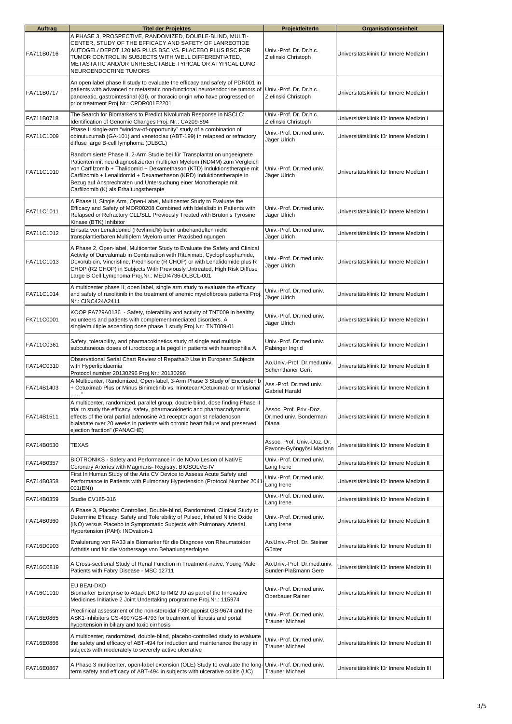| <b>Auftrag</b> | <b>Titel der Projektes</b>                                                                                                                                                                                                                                                                                                                                                                                            | ProjektleiterIn                                            | Organisationseinheit                      |
|----------------|-----------------------------------------------------------------------------------------------------------------------------------------------------------------------------------------------------------------------------------------------------------------------------------------------------------------------------------------------------------------------------------------------------------------------|------------------------------------------------------------|-------------------------------------------|
| FA711B0716     | A PHASE 3, PROSPECTIVE, RANDOMIZED, DOUBLE-BLIND, MULTI-<br>CENTER, STUDY OF THE EFFICACY AND SAFETY OF LANREOTIDE<br>AUTOGEL/ DEPOT 120 MG PLUS BSC VS. PLACEBO PLUS BSC FOR<br>TUMOR CONTROL IN SUBJECTS WITH WELL DIFFERENTIATED,<br>METASTATIC AND/OR UNRESECTABLE TYPICAL OR ATYPICAL LUNG<br>NEUROENDOCRINE TUMORS                                                                                              | Univ.-Prof. Dr. Dr.h.c.<br>Zielinski Christoph             | Universitätsklinik für Innere Medizin I   |
| FA711B0717     | An open label phase II study to evaluate the efficacy and safety of PDR001 in<br>patients with advanced or metastatic non-functional neuroendocrine tumors of Univ.-Prof. Dr. Dr.h.c.<br>pancreatic, gastrointestinal (GI), or thoracic origin who have progressed on<br>prior treatment Proj.Nr.: CPDR001E2201                                                                                                       | Zielinski Christoph                                        | Universitätsklinik für Innere Medizin I   |
| FA711B0718     | The Search for Biomarkers to Predict Nivolumab Response in NSCLC:<br>Identification of Genomic Changes Proj. Nr.: CA209-894                                                                                                                                                                                                                                                                                           | Univ.-Prof. Dr. Dr.h.c.<br>Zielinski Christoph             | Universitätsklinik für Innere Medizin I   |
| FA711C1009     | Phase II single-arm "window-of-opportunity" study of a combination of<br>obinutuzumab (GA-101) and venetoclax (ABT-199) in relapsed or refractory<br>diffuse large B-cell lymphoma (DLBCL)                                                                                                                                                                                                                            | Univ.-Prof. Dr.med.univ.<br>Jäger Ulrich                   | Universitätsklinik für Innere Medizin I   |
| FA711C1010     | Randomisierte Phase II, 2-Arm Studie bei für Transplantation ungeeignete<br>Patienten mit neu diagnostizierten multiplen Myelom (NDMM) zum Vergleich<br>von Carfilzomib + Thalidomid + Dexamethason (KTD) Induktionstherapie mit<br>Carfilzomib + Lenalidomid + Dexamethason (KRD) Induktionstherapie in<br>Bezug auf Ansprechraten und Untersuchung einer Monotherapie mit<br>Carfilzomib (K) als Erhaltungstherapie | Univ.-Prof. Dr.med.univ.<br>Jäger Ulrich                   | Universitätsklinik für Innere Medizin I   |
| FA711C1011     | A Phase II, Single Arm, Open-Label, Multicenter Study to Evaluate the<br>Efficacy and Safety of MOR00208 Combined with Idelalisib in Patients with<br>Relapsed or Refractory CLL/SLL Previously Treated with Bruton's Tyrosine<br>Kinase (BTK) Inhibitor                                                                                                                                                              | Univ.-Prof. Dr.med.univ.<br>Jäger Ulrich                   | Universitätsklinik für Innere Medizin I   |
| FA711C1012     | Einsatz von Lenalidomid (Revlimid®) beim unbehandelten nicht<br>transplantierbaren Multiplem Myelom unter Praxisbedingungen                                                                                                                                                                                                                                                                                           | Univ.-Prof. Dr.med.univ.<br>Jäger Ulrich                   | Universitätsklinik für Innere Medizin I   |
| FA711C1013     | A Phase 2, Open-label, Multicenter Study to Evaluate the Safety and Clinical<br>Activity of Durvalumab in Combination with Rituximab, Cyclophosphamide,<br>Doxorubicin, Vincristine, Prednisone (R CHOP) or with Lenalidomide plus R<br>CHOP (R2 CHOP) in Subjects With Previously Untreated, High Risk Diffuse<br>Large B Cell Lymphoma Proj.Nr.: MEDI4736-DLBCL-001                                                 | Univ.-Prof. Dr.med.univ.<br>Jäger Ulrich                   | Universitätsklinik für Innere Medizin I   |
| FA711C1014     | A multicenter phase II, open label, single arm study to evaluate the efficacy<br>and safety of ruxolitinib in the treatment of anemic myelofibrosis patients Proj.<br>Nr.: CINC424A2411                                                                                                                                                                                                                               | Univ.-Prof. Dr.med.univ.<br>Jäger Ulrich                   | Universitätsklinik für Innere Medizin I   |
| FK711C0001     | KOOP FA729A0136 - Safety, tolerability and activity of TNT009 in healthy<br>volunteers and patients with complement-mediated disorders. A<br>single/multiple ascending dose phase 1 study Proj.Nr.: TNT009-01                                                                                                                                                                                                         | Univ.-Prof. Dr.med.univ.<br>Jäger Ulrich                   | Universitätsklinik für Innere Medizin I   |
| FA711C0361     | Safety, tolerability, and pharmacokinetics study of single and multiple<br>subcutaneous doses of turoctocog alfa pegol in patients with haemophilia A                                                                                                                                                                                                                                                                 | Univ.-Prof. Dr.med.univ.<br>Pabinger Ingrid                | Universitätsklinik für Innere Medizin I   |
| FA714C0310     | Observational Serial Chart Review of Repatha® Use in European Subjects<br>with Hyperlipidaemia<br>Protocol number 20130296 Proj.Nr.: 20130296                                                                                                                                                                                                                                                                         | Ao.Univ.-Prof. Dr.med.univ.<br><b>Schernthaner Gerit</b>   | Universitätsklinik für Innere Medizin II  |
| FA714B1403     | A Multicenter, Randomized, Open-label, 3-Arm Phase 3 Study of Encorafenib<br>+ Cetuximab Plus or Minus Binimetinib vs. Irinotecan/Cetuximab or Infusional                                                                                                                                                                                                                                                             | Ass.-Prof. Dr.med.univ.<br><b>Gabriel Harald</b>           | Universitätsklinik für Innere Medizin II. |
| FA714B1511     | A multicenter, randomized, parallel group, double blind, dose finding Phase II<br>trial to study the efficacy, safety, pharmacokinetic and pharmacodynamic<br>effects of the oral partial adenosine A1 receptor agonist neladenoson<br>bialanate over 20 weeks in patients with chronic heart failure and preserved<br>ejection fraction" (PANACHE)                                                                   | Assoc. Prof. Priv.-Doz.<br>Dr.med.univ. Bonderman<br>Diana | Universitätsklinik für Innere Medizin II  |
| FA714B0530     | TEXAS                                                                                                                                                                                                                                                                                                                                                                                                                 | Assoc. Prof. Univ.-Doz. Dr.<br>Pavone-Gyöngyösi Mariann    | Universitätsklinik für Innere Medizin II  |
| FA714B0357     | BIOTRONIKS - Safety and Performance in de NOvo Lesion of NatiVE<br>Coronary Arteries with Magmaris- Registry: BIOSOLVE-IV                                                                                                                                                                                                                                                                                             | Univ.-Prof. Dr.med.univ.<br>Lang Irene                     | Universitätsklinik für Innere Medizin II  |
| FA714B0358     | First In Human Study of the Aria CV Device to Assess Acute Safety and<br>Performance in Patients with Pulmonary Hypertension (Protocol Number 2041<br>001(EN))                                                                                                                                                                                                                                                        | Univ.-Prof. Dr.med.univ.<br>Lang Irene                     | Universitätsklinik für Innere Medizin II  |
| FA714B0359     | Studie CV185-316                                                                                                                                                                                                                                                                                                                                                                                                      | Univ.-Prof. Dr.med.univ.<br>Lang Irene                     | Universitätsklinik für Innere Medizin II  |
| FA714B0360     | A Phase 3, Placebo Controlled, Double-blind, Randomized, Clinical Study to<br>Determine Efficacy, Safety and Tolerability of Pulsed, Inhaled Nitric Oxide<br>(iNO) versus Placebo in Symptomatic Subjects with Pulmonary Arterial<br>Hypertension (PAH): INOvation-1                                                                                                                                                  | Univ.-Prof. Dr.med.univ.<br>Lang Irene                     | Universitätsklinik für Innere Medizin II  |
| FA716D0903     | Evaluierung von RA33 als Biomarker für die Diagnose von Rheumatoider<br>Arthritis und für die Vorhersage von Behanlungserfolgen                                                                                                                                                                                                                                                                                       | Ao.Univ.-Prof. Dr. Steiner<br>Günter                       | Universitätsklinik für Innere Medizin III |
| FA716C0819     | A Cross-sectional Study of Renal Function in Treatment-naive, Young Male<br>Patients with Fabry Disease - MSC 12711                                                                                                                                                                                                                                                                                                   | Ao.Univ.-Prof. Dr.med.univ.<br>Sunder-Plaßmann Gere        | Universitätsklinik für Innere Medizin III |
| FA716C1010     | EU BEAt-DKD<br>Biomarker Enterprise to Attack DKD to IMI2 JU as part of the Innovative<br>Medicines Initiative 2 Joint Undertaking programme Proj.Nr.: 115974                                                                                                                                                                                                                                                         | Univ.-Prof. Dr.med.univ.<br>Oberbauer Rainer               | Universitätsklinik für Innere Medizin III |
| FA716E0865     | Preclinical assessment of the non-steroidal FXR agonist GS-9674 and the<br>ASK1-inhibitors GS-4997/GS-4793 for treatment of fibrosis and portal<br>hypertension in biliary and toxic cirrhosis                                                                                                                                                                                                                        | Univ.-Prof. Dr.med.univ.<br><b>Trauner Michael</b>         | Universitätsklinik für Innere Medizin III |
| FA716E0866     | A multicenter, randomized, double-blind, placebo-controlled study to evaluate<br>the safety and efficacy of ABT-494 for induction and maintenance therapy in<br>subjects with moderately to severely active ulcerative                                                                                                                                                                                                | Univ.-Prof. Dr.med.univ.<br><b>Trauner Michael</b>         | Universitätsklinik für Innere Medizin III |
| FA716E0867     | A Phase 3 multicenter, open-label extension (OLE) Study to evaluate the long-<br>term safety and efficacy of ABT-494 in subjects with ulcerative colitis (UC)                                                                                                                                                                                                                                                         | Univ.-Prof. Dr.med.univ.<br><b>Trauner Michael</b>         | Universitätsklinik für Innere Medizin III |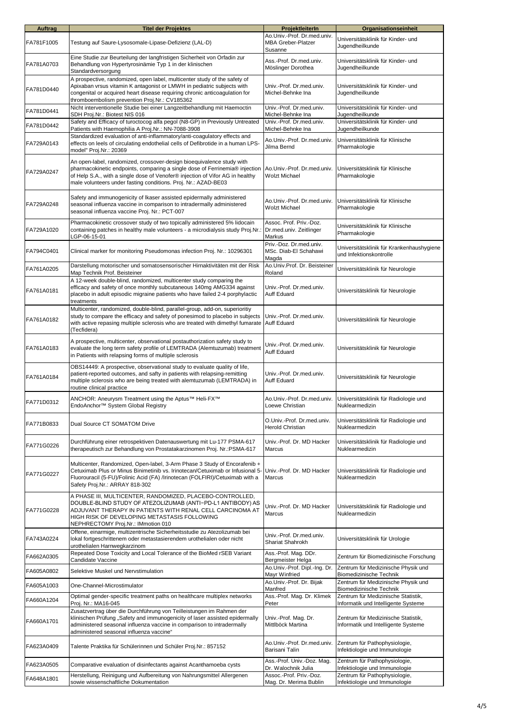| <b>Auftrag</b> | <b>Titel der Projektes</b>                                                                                                                                                                                                                                                                              | ProjektleiterIn                                                     | Organisationseinheit                                                       |
|----------------|---------------------------------------------------------------------------------------------------------------------------------------------------------------------------------------------------------------------------------------------------------------------------------------------------------|---------------------------------------------------------------------|----------------------------------------------------------------------------|
| FA781F1005     | Testung auf Saure-Lysosomale-Lipase-Defizienz (LAL-D)                                                                                                                                                                                                                                                   | Ao Univ.-Prof. Dr.med.univ.<br><b>MBA Greber-Platzer</b><br>Susanne | Universitätsklinik für Kinder- und<br>Jugendheilkunde                      |
| FA781A0703     | Eine Studie zur Beurteilung der langfristigen Sicherheit von Orfadin zur<br>Behandlung von Hypertyrosinämie Typ 1 in der klinischen<br>Standardversorgung                                                                                                                                               | Ass.-Prof. Dr.med.univ.<br>Möslinger Dorothea                       | Universitätsklinik für Kinder- und<br>Jugendheilkunde                      |
| FA781D0440     | A prospective, randomized, open label, multicenter study of the safety of<br>Apixaban vrsus vitamin K antagonist or LMWH in pediatric subjects with<br>congenital or acquired heart disease requiring chronic anticoagulation for<br>thromboembolism prevention Proj.Nr.: CV185362                      | Univ.-Prof. Dr.med.univ.<br>Michel-Behnke Ina                       | Universitätsklinik für Kinder- und<br>Jugendheilkunde                      |
| FA781D0441     | Nicht interventionelle Studie bei einer Langzeitbehandlung mit Haemoctin<br>SDH Proj.Nr.: Biotest NIS 016                                                                                                                                                                                               | Univ.-Prof. Dr.med.univ.<br>Michel-Behnke Ina                       | Universitätsklinik für Kinder- und<br>Jugendheilkunde                      |
| FA781D0442     | Safety and Efficacy of turoctocog alfa pegol (N8-GP) in Previously Untreated<br>Patients with Haemophilia A Proj.Nr.: NN-7088-3908                                                                                                                                                                      | Univ.-Prof. Dr.med.univ.<br>Michel-Behnke Ina                       | Universitätsklinik für Kinder- und<br>Jugendheilkunde                      |
| FA729A0143     | Standardized evaluation of anti-inflammatory/anti-coagulatory effects and<br>effects on leels of circulating endothelial cells of Defibrotide in a human LPS-<br>model" Proj.Nr.: 20369                                                                                                                 | Ao.Univ.-Prof. Dr.med.univ.<br>Jilma Bernd                          | Universitätsklinik für Klinische<br>Pharmakologie                          |
| FA729A0247     | An open-label, randomized, crossover-design bioequivalence study with<br>pharmacokinetic endpoints, comparing a single dose of Ferrinemia® injection<br>of Help S.A., with a single dose of Venofer® injection of Vifor AG in healthy<br>male volunteers under fasting conditions. Proj. Nr.: AZAD-BE03 | Ao.Univ.-Prof. Dr.med.univ.<br>Wolzt Michael                        | Universitätsklinik für Klinische<br>Pharmakologie                          |
| FA729A0248     | Safety and immunogenicity of Ikaser assisted epidermally administered<br>seasonal influenza vaccine in comparison to intradermally administered<br>seasonal influenza vaccine Proj. Nr.: PCT-007                                                                                                        | Ao.Univ.-Prof. Dr.med.univ.<br>Wolzt Michael                        | Universitätsklinik für Klinische<br>Pharmakologie                          |
| FA729A1020     | Pharmacokinetic crossover study of two topically administered 5% lidocain<br>containing patches in healthy male volunteers - a microdialysis study Proj.Nr.:<br>CP-06-15-01                                                                                                                             | Assoc. Prof. Priv.-Doz.<br>Dr.med.univ. Zeitlinger<br><b>Markus</b> | Universitätsklinik für Klinische<br>Pharmakologie                          |
| FA794C0401     | Clinical marker for monitoring Pseudomonas infection Proj. Nr.: 10296301                                                                                                                                                                                                                                | Priv.-Doz. Dr.med.univ.<br>MSc. Diab-El Schahawi<br>Magda           | Universitätsklinik für Krankenhaushygiene<br>und Infektionskontrolle       |
| FA761A0205     | Darstellung motorischer und somatosensorischer Hirnaktivitäten mit der Risk<br>Map Technik Prof. Beisteiner                                                                                                                                                                                             | Ao.Univ.Prof. Dr. Beisteiner<br>Roland                              | Universitätsklinik für Neurologie                                          |
| FA761A0181     | A 12-week double-blind, randomized, multicenter study comparing the<br>efficacy and safety of once monthly subcutaneous 140mg AMG334 against<br>placebo in adult episodic migraine patients who have failed 2-4 porphylactic<br>treatments                                                              | Univ.-Prof. Dr.med.univ.<br>Auff Eduard                             | Universitätsklinik für Neurologie                                          |
| FA761A0182     | Multicenter, randomized, double-blind, parallel-group, add-on, superioritiy<br>study to compare the efficacy and safety of ponesimod to placebo in subjects<br>with active repasing multiple sclerosis who are treated with dimethyl fumarate Auff Eduard<br>(Tecfidera)                                | Univ.-Prof. Dr.med.univ.                                            | Universitätsklinik für Neurologie                                          |
| FA761A0183     | A prospective, multicenter, observational postauthorization safety study to<br>evaluate the long term safety profile of LEMTRADA (Alemtuzumab) treatment<br>in Patients with relapsing forms of multiple sclerosis                                                                                      | Univ.-Prof. Dr.med.univ.<br>Auff Eduard                             | Universitätsklinik für Neurologie                                          |
| FA761A0184     | OBS14449: A prospective, observational study to evaluate quality of life,<br>patient-reported outcomes, and safty in patients with relapsing-remitting<br>multiple sclerosis who are being treated with alemtuzumab (LEMTRADA) in<br>routine clinical practice                                          | Univ.-Prof. Dr.med.univ.<br>Auff Eduard                             | Universitätsklinik für Neurologie                                          |
| FA771D0312     | ANCHOR: Aneurysm Treatment using the Aptus™ Heli-FX™<br>EndoAnchor™ System Global Registry                                                                                                                                                                                                              | Ao.Univ.-Prof. Dr.med.univ.<br>Loewe Christian                      | Universitätsklinik für Radiologie und<br>Nuklearmedizin                    |
| FA771B0833     | Dual Source CT SOMATOM Drive                                                                                                                                                                                                                                                                            | O.Univ.-Prof. Dr.med.univ.<br>Herold Christian                      | Universitätsklinik für Radiologie und<br>Nuklearmedizin                    |
| FA771G0226     | Durchführung einer retrospektiven Datenauswertung mit Lu-177 PSMA-617<br>therapeutisch zur Behandlung von Prostatakarzinomen Proj. Nr.:PSMA-617                                                                                                                                                         | Univ.-Prof. Dr. MD Hacker<br>Marcus                                 | Universitätsklinik für Radiologie und<br>Nuklearmedizin                    |
| FA771G0227     | Multicenter, Randomized, Open-label, 3-Arm Phase 3 Study of Encorafenib +<br>Cetuximab Plus or Minus Binimetinib vs. Irinotecan/Cetuximab or Infusional 5-<br>Fluorouracil (5-FU)/Folinic Acid (FA) /Irinotecan (FOLFIRI)/Cetuximab with a<br>Safety Proj.Nr.: ARRAY 818-302                            | Univ.-Prof. Dr. MD Hacker<br><b>Marcus</b>                          | Universitätsklinik für Radiologie und<br>Nuklearmedizin                    |
| FA771G0228     | A PHASE III, MULTICENTER, RANDOMIZED, PLACEBO-CONTROLLED,<br>DOUBLE-BLIND STUDY OF ATEZOLIZUMAB (ANTI-PD-L1 ANTIBODY) AS<br>ADJUVANT THERAPY IN PATIENTS WITH RENAL CELL CARCINOMA AT<br>HIGH RISK OF DEVELOPING METASTASIS FOLLOWING<br>NEPHRECTOMY Proj.Nr.: IMmotion 010                             | Univ.-Prof. Dr. MD Hacker<br>Marcus                                 | Universitätsklinik für Radiologie und<br>Nuklearmedizin                    |
| FA743A0224     | Offene, einarmige, multizentrische Sicherheitsstudie zu Atezolizumab bei<br>lokal fortgeschrittenem oder metastasierendem urothelialen oder nicht<br>urothelialen Harnwegkarzinom                                                                                                                       | Univ.-Prof. Dr.med.univ.<br>Shariat Shahrokh                        | Universitätsklinik für Urologie                                            |
| FA662A0305     | Repeated Dose Toxicity and Local Tolerance of the BioMed rSEB Variant<br>Candidate Vaccine                                                                                                                                                                                                              | Ass.-Prof. Mag. DDr.<br>Bergmeister Helga                           | Zentrum für Biomedizinische Forschung                                      |
| FA605A0802     | Selektive Muskel und Nervstimulation                                                                                                                                                                                                                                                                    | Ao.Univ.-Prof. Dipl.-Ing. Dr.<br>Mayr Winfried                      | Zentrum für Medizinische Physik und<br>Biomedizinische Technik             |
| FA605A1003     | One-Channel-Microstimulator                                                                                                                                                                                                                                                                             | Ao.Univ.-Prof. Dr. Bijak<br>Manfred                                 | Zentrum für Medizinische Physik und<br>Biomedizinische Technik             |
| FA660A1204     | Optimal gender-specific treatment paths on healthcare multiplex networks<br>Proj. Nr.: MA16-045                                                                                                                                                                                                         | Ass.-Prof. Mag. Dr. Klimek<br>Peter                                 | Zentrum für Medizinische Statistik,<br>Informatik und Intelligente Systeme |
| FA660A1701     | Zusatzvertrag über die Durchführung von Teilleistungen im Rahmen der<br>klinischen Prüfung "Safety and immunogenicity of laser assisted epidermally<br>administered seasonal influenza vaccine in comparison to intradermally<br>administered seasonal influenza vaccine"                               | Univ.-Prof. Mag. Dr.<br>Mittlböck Martina                           | Zentrum für Medizinische Statistik,<br>Informatik und Intelligente Systeme |
| FA623A0409     | Talente Praktika für Schülerinnen und Schüler Proj.Nr.: 857152                                                                                                                                                                                                                                          | Ao.Univ.-Prof. Dr.med.univ.<br>Barisani Talin                       | Zentrum für Pathophysiologie,<br>Infektiologie und Immunologie             |
| FA623A0505     | Comparative evaluation of disinfectants against Acanthamoeba cysts                                                                                                                                                                                                                                      | Ass.-Prof. Univ.-Doz. Mag.<br>Dr. Walochnik Julia                   | Zentrum für Pathophysiologie,<br>Infektiologie und Immunologie             |
| FA648A1801     | Herstellung, Reinigung und Aufbereitung von Nahrungsmittel Allergenen<br>sowie wissenschaftliche Dokumentation                                                                                                                                                                                          | Assoc.-Prof. Priv.-Doz.<br>Mag. Dr. Merima Bublin                   | Zentrum für Pathophysiologie,<br>Infektiologie und Immunologie             |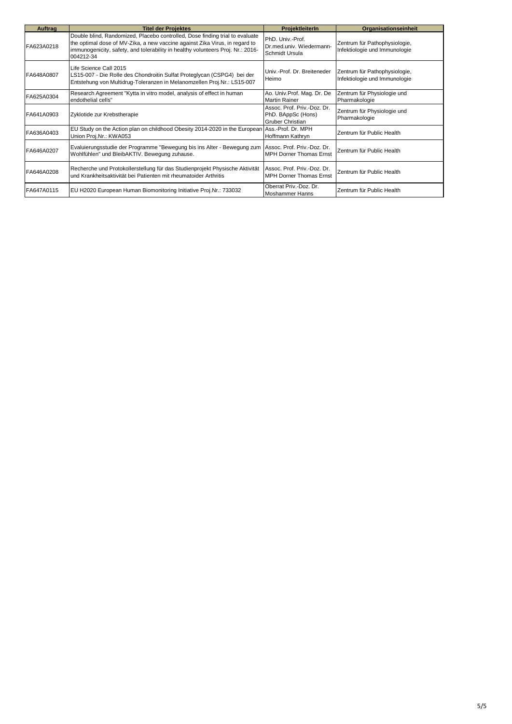| Auftrag    | <b>Titel der Projektes</b>                                                                                                                                                                                                                                  | ProjektleiterIn                                                              | Organisationseinheit                                           |
|------------|-------------------------------------------------------------------------------------------------------------------------------------------------------------------------------------------------------------------------------------------------------------|------------------------------------------------------------------------------|----------------------------------------------------------------|
| FA623A0218 | Double blind, Randomized, Placebo controlled, Dose finding trial to evaluate<br>the optimal dose of MV-Zika, a new vaccine against Zika Virus, in regard to<br>immunogenicity, safety, and tolerability in healthy volunteers Proj. Nr.: 2016-<br>004212-34 | PhD. Univ.-Prof.<br>Dr.med.univ. Wiedermann-<br>Schmidt Ursula               | Zentrum für Pathophysiologie,<br>Infektiologie und Immunologie |
| FA648A0807 | Life Science Call 2015<br>LS15-007 - Die Rolle des Chondroitin Sulfat Proteglycan (CSPG4) bei der<br>Entstehung von Multidrug-Toleranzen in Melanomzellen Proj.Nr.: LS15-007                                                                                | Univ.-Prof. Dr. Breiteneder<br>Heimo                                         | Zentrum für Pathophysiologie,<br>Infektiologie und Immunologie |
| FA625A0304 | Research Agreement "Kytta in vitro model, analysis of effect in human<br>endothelial cells"                                                                                                                                                                 | Ao. Univ.Prof. Mag. Dr. De<br><b>Martin Rainer</b>                           | Zentrum für Physiologie und<br>Pharmakologie                   |
| FA641A0903 | Zyklotide zur Krebstherapie                                                                                                                                                                                                                                 | Assoc. Prof. Priv.-Doz. Dr.<br>PhD. BAppSc (Hons)<br><b>Gruber Christian</b> | Zentrum für Physiologie und<br>Pharmakologie                   |
| FA636A0403 | EU Study on the Action plan on childhood Obesity 2014-2020 in the European Ass.-Prof. Dr. MPH<br>Union Proj.Nr.: KWA053                                                                                                                                     | Hoffmann Kathryn                                                             | Zentrum für Public Health                                      |
| FA646A0207 | Evaluierungsstudie der Programme "Bewegung bis ins Alter - Bewegung zum<br>Wohlfühlen" und BleibAKTIV. Bewegung zuhause.                                                                                                                                    | Assoc. Prof. Priv.-Doz. Dr.<br><b>MPH Dorner Thomas Ernst</b>                | Zentrum für Public Health                                      |
| FA646A0208 | Recherche und Protokollerstellung für das Studienprojekt Physische Aktivität<br>und Krankheitsaktivität bei Patienten mit rheumatoider Arthritis                                                                                                            | Assoc. Prof. Priv.-Doz. Dr.<br><b>IMPH Dorner Thomas Ernst</b>               | Zentrum für Public Health                                      |
| FA647A0115 | EU H2020 European Human Biomonitoring Initiative Proj.Nr.: 733032                                                                                                                                                                                           | Oberrat Priv.-Doz. Dr.<br>Moshammer Hanns                                    | Zentrum für Public Health                                      |